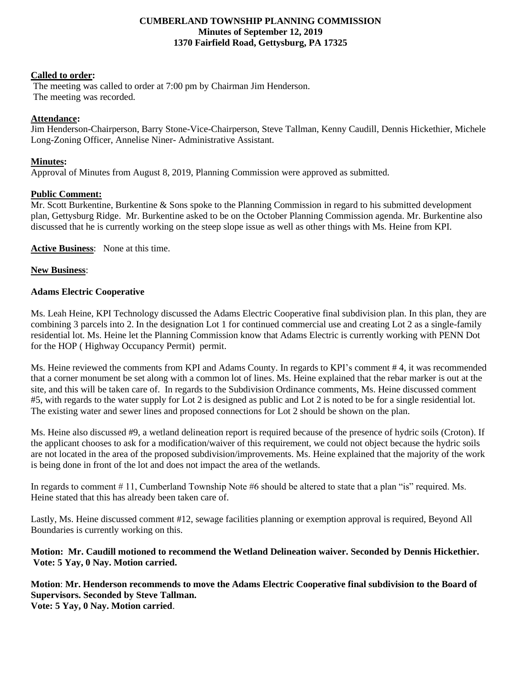#### **CUMBERLAND TOWNSHIP PLANNING COMMISSION Minutes of September 12, 2019 1370 Fairfield Road, Gettysburg, PA 17325**

#### **Called to order:**

The meeting was called to order at 7:00 pm by Chairman Jim Henderson. The meeting was recorded.

# **Attendance:**

Jim Henderson-Chairperson, Barry Stone-Vice-Chairperson, Steve Tallman, Kenny Caudill, Dennis Hickethier, Michele Long-Zoning Officer, Annelise Niner- Administrative Assistant.

# **Minutes:**

Approval of Minutes from August 8, 2019, Planning Commission were approved as submitted.

## **Public Comment:**

Mr. Scott Burkentine, Burkentine & Sons spoke to the Planning Commission in regard to his submitted development plan, Gettysburg Ridge. Mr. Burkentine asked to be on the October Planning Commission agenda. Mr. Burkentine also discussed that he is currently working on the steep slope issue as well as other things with Ms. Heine from KPI.

**Active Business**: None at this time.

## **New Business**:

## **Adams Electric Cooperative**

Ms. Leah Heine, KPI Technology discussed the Adams Electric Cooperative final subdivision plan. In this plan, they are combining 3 parcels into 2. In the designation Lot 1 for continued commercial use and creating Lot 2 as a single-family residential lot. Ms. Heine let the Planning Commission know that Adams Electric is currently working with PENN Dot for the HOP ( Highway Occupancy Permit) permit.

Ms. Heine reviewed the comments from KPI and Adams County. In regards to KPI's comment # 4, it was recommended that a corner monument be set along with a common lot of lines. Ms. Heine explained that the rebar marker is out at the site, and this will be taken care of. In regards to the Subdivision Ordinance comments, Ms. Heine discussed comment #5, with regards to the water supply for Lot 2 is designed as public and Lot 2 is noted to be for a single residential lot. The existing water and sewer lines and proposed connections for Lot 2 should be shown on the plan.

Ms. Heine also discussed #9, a wetland delineation report is required because of the presence of hydric soils (Croton). If the applicant chooses to ask for a modification/waiver of this requirement, we could not object because the hydric soils are not located in the area of the proposed subdivision/improvements. Ms. Heine explained that the majority of the work is being done in front of the lot and does not impact the area of the wetlands.

In regards to comment # 11, Cumberland Township Note #6 should be altered to state that a plan "is" required. Ms. Heine stated that this has already been taken care of.

Lastly, Ms. Heine discussed comment #12, sewage facilities planning or exemption approval is required, Beyond All Boundaries is currently working on this.

## **Motion: Mr. Caudill motioned to recommend the Wetland Delineation waiver. Seconded by Dennis Hickethier. Vote: 5 Yay, 0 Nay. Motion carried.**

**Motion**: **Mr. Henderson recommends to move the Adams Electric Cooperative final subdivision to the Board of Supervisors. Seconded by Steve Tallman. Vote: 5 Yay, 0 Nay. Motion carried**.